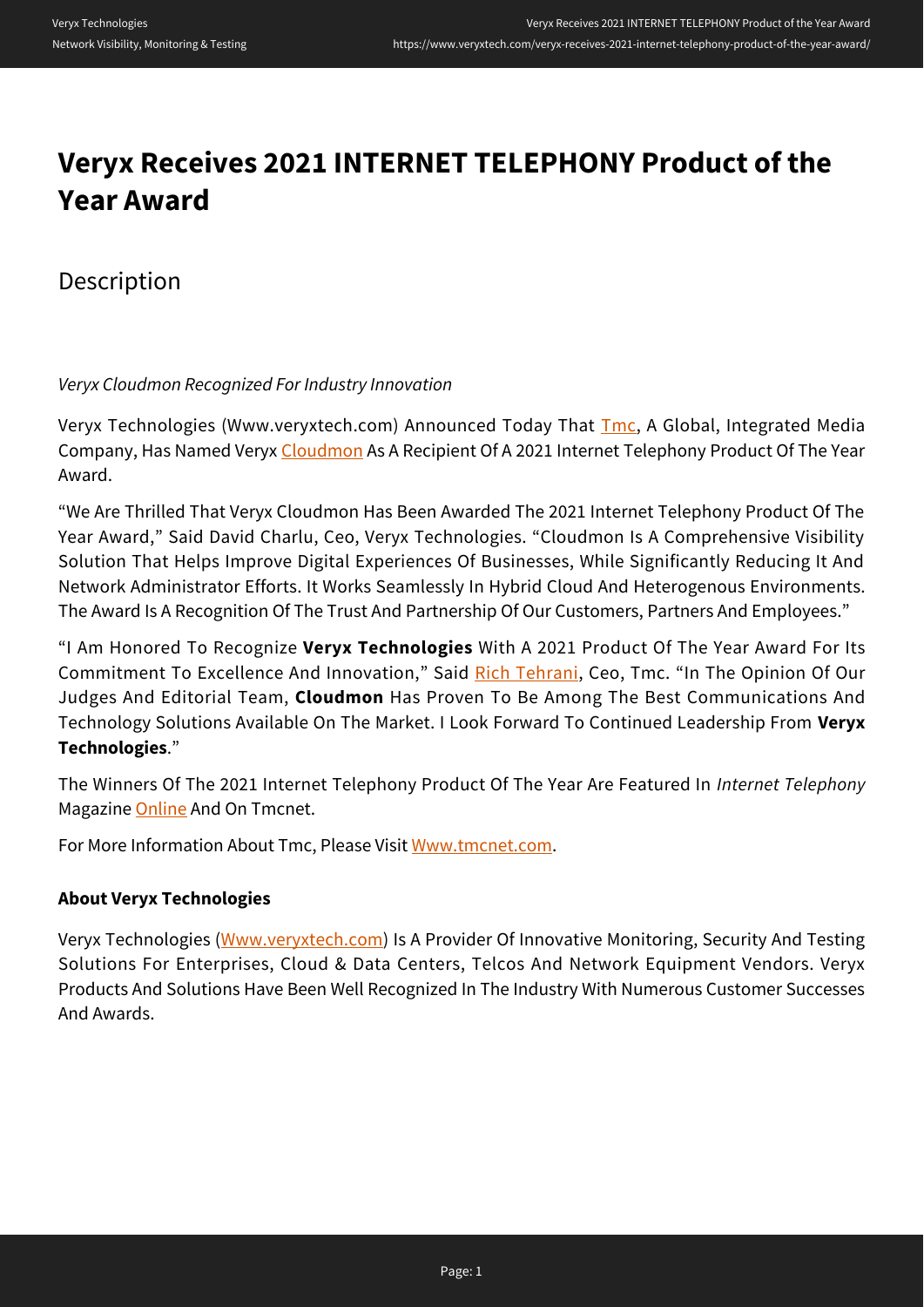# **Veryx Receives 2021 INTERNET TELEPHONY Product of the Year Award**

Description

*Veryx Cloudmon Recognized For Industry Innovation*

Veryx Technologies (Www.veryxtech.com) Announced Today That *[Tmc](http://www.tmcnet.com)*, A Global, Integrated Media Company, Has Named Veryx [Cloudmon](http://www.veryxtech.com/dd/products/cloudmon-visibility/) As A Recipient Of A 2021 Internet Telephony Product Of The Year Award.

"We Are Thrilled That Veryx Cloudmon Has Been Awarded The 2021 Internet Telephony Product Of The Year Award," Said David Charlu, Ceo, Veryx Technologies. "Cloudmon Is A Comprehensive Visibility Solution That Helps Improve Digital Experiences Of Businesses, While Significantly Reducing It And Network Administrator Efforts. It Works Seamlessly In Hybrid Cloud And Heterogenous Environments. The Award Is A Recognition Of The Trust And Partnership Of Our Customers, Partners And Employees."

"I Am Honored To Recognize **Veryx Technologies** With A 2021 Product Of The Year Award For Its Commitment To Excellence And Innovation," Said [Rich Tehrani,](http://blog.tmcnet.com/blog/rich-tehrani) Ceo, Tmc. "In The Opinion Of Our Judges And Editorial Team, **Cloudmon** Has Proven To Be Among The Best Communications And Technology Solutions Available On The Market. I Look Forward To Continued Leadership From **Veryx Technologies**."

The Winners Of The 2021 Internet Telephony Product Of The Year Are Featured In *Internet Telephony* Magazine [Online](http://www.tmcnet.com/voip/news/articles/448195-tmc-announces-2021-internet-telephony-product-the-year.htm) And On Tmcnet.

For More Information About Tmc, Please Visit [Www.tmcnet.com.](http://www.tmcnet.com)

# **About Veryx Technologies**

Veryx Technologies [\(Www.veryxtech.com\)](http://www.veryxtech.com/dd) Is A Provider Of Innovative Monitoring, Security And Testing Solutions For Enterprises, Cloud & Data Centers, Telcos And Network Equipment Vendors. Veryx Products And Solutions Have Been Well Recognized In The Industry With Numerous Customer Successes And Awards.